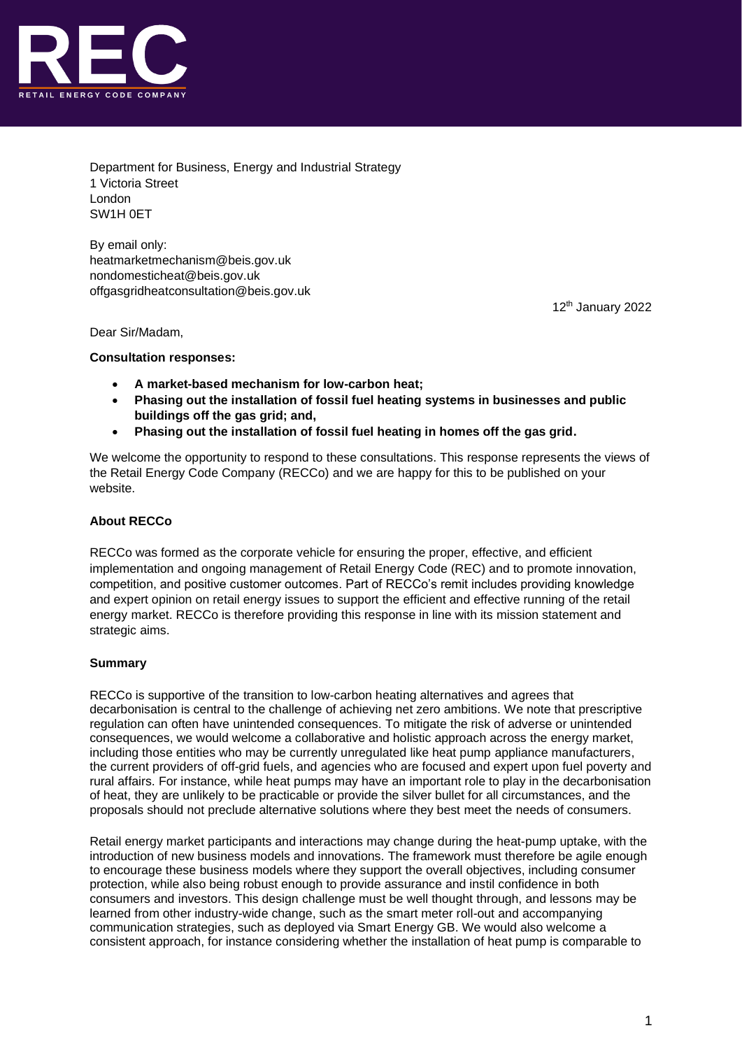

Department for Business, Energy and Industrial Strategy 1 Victoria Street London SW1H 0ET

By email only: [heatmarketmechanism@beis.gov.uk](mailto:heatmarketmechanism@beis.gov.uk) [nondomesticheat@beis.gov.uk](mailto:nondomesticheat@beis.gov.uk) offgasgridheatconsultation@beis.gov.uk

12th January 2022

Dear Sir/Madam,

**Consultation responses:** 

- **A market-based mechanism for low-carbon heat;**
- **Phasing out the installation of fossil fuel heating systems in businesses and public buildings off the gas grid; and,**
- **Phasing out the installation of fossil fuel heating in homes off the gas grid.**

We welcome the opportunity to respond to these consultations. This response represents the views of the Retail Energy Code Company (RECCo) and we are happy for this to be published on your website.

# **About RECCo**

RECCo was formed as the corporate vehicle for ensuring the proper, effective, and efficient implementation and ongoing management of Retail Energy Code (REC) and to promote innovation, competition, and positive customer outcomes. Part of RECCo's remit includes providing knowledge and expert opinion on retail energy issues to support the efficient and effective running of the retail energy market. RECCo is therefore providing this response in line with its mission statement and strategic aims.

# **Summary**

RECCo is supportive of the transition to low-carbon heating alternatives and agrees that decarbonisation is central to the challenge of achieving net zero ambitions. We note that prescriptive regulation can often have unintended consequences. To mitigate the risk of adverse or unintended consequences, we would welcome a collaborative and holistic approach across the energy market, including those entities who may be currently unregulated like heat pump appliance manufacturers, the current providers of off-grid fuels, and agencies who are focused and expert upon fuel poverty and rural affairs. For instance, while heat pumps may have an important role to play in the decarbonisation of heat, they are unlikely to be practicable or provide the silver bullet for all circumstances, and the proposals should not preclude alternative solutions where they best meet the needs of consumers.

Retail energy market participants and interactions may change during the heat-pump uptake, with the introduction of new business models and innovations. The framework must therefore be agile enough to encourage these business models where they support the overall objectives, including consumer protection, while also being robust enough to provide assurance and instil confidence in both consumers and investors. This design challenge must be well thought through, and lessons may be learned from other industry-wide change, such as the smart meter roll-out and accompanying communication strategies, such as deployed via Smart Energy GB. We would also welcome a consistent approach, for instance considering whether the installation of heat pump is comparable to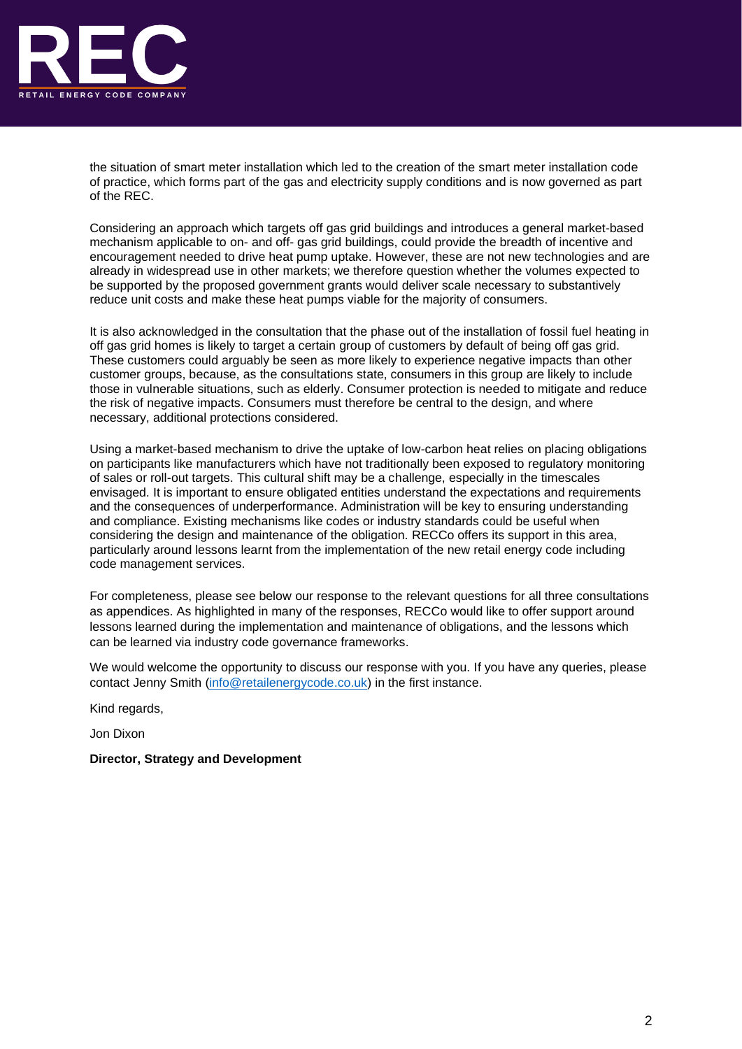

the situation of smart meter installation which led to the creation of the smart meter installation code of practice, which forms part of the gas and electricity supply conditions and is now governed as part of the REC.

Considering an approach which targets off gas grid buildings and introduces a general market-based mechanism applicable to on- and off- gas grid buildings, could provide the breadth of incentive and encouragement needed to drive heat pump uptake. However, these are not new technologies and are already in widespread use in other markets; we therefore question whether the volumes expected to be supported by the proposed government grants would deliver scale necessary to substantively reduce unit costs and make these heat pumps viable for the majority of consumers.

It is also acknowledged in the consultation that the phase out of the installation of fossil fuel heating in off gas grid homes is likely to target a certain group of customers by default of being off gas grid. These customers could arguably be seen as more likely to experience negative impacts than other customer groups, because, as the consultations state, consumers in this group are likely to include those in vulnerable situations, such as elderly. Consumer protection is needed to mitigate and reduce the risk of negative impacts. Consumers must therefore be central to the design, and where necessary, additional protections considered.

Using a market-based mechanism to drive the uptake of low-carbon heat relies on placing obligations on participants like manufacturers which have not traditionally been exposed to regulatory monitoring of sales or roll-out targets. This cultural shift may be a challenge, especially in the timescales envisaged. It is important to ensure obligated entities understand the expectations and requirements and the consequences of underperformance. Administration will be key to ensuring understanding and compliance. Existing mechanisms like codes or industry standards could be useful when considering the design and maintenance of the obligation. RECCo offers its support in this area, particularly around lessons learnt from the implementation of the new retail energy code including code management services.

For completeness, please see below our response to the relevant questions for all three consultations as appendices. As highlighted in many of the responses, RECCo would like to offer support around lessons learned during the implementation and maintenance of obligations, and the lessons which can be learned via industry code governance frameworks.

We would welcome the opportunity to discuss our response with you. If you have any queries, please contact Jenny Smith [\(info@retailenergycode.co.uk\)](mailto:info@retailenergycode.co.uk) in the first instance.

Kind regards,

Jon Dixon

## **Director, Strategy and Development**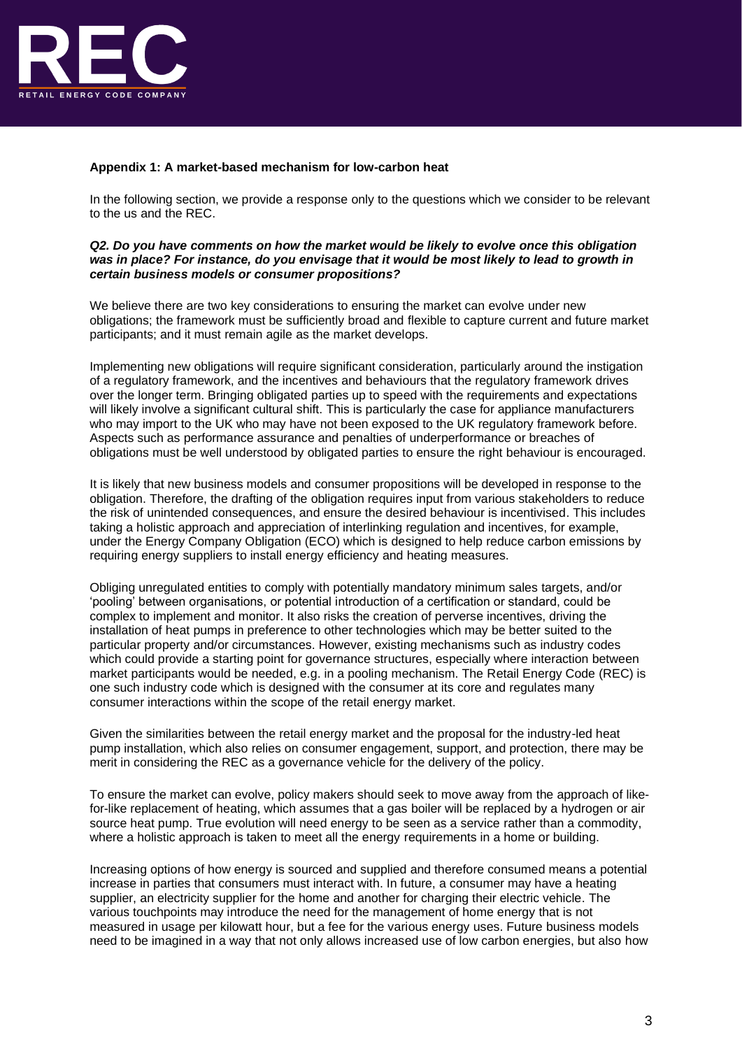

## **Appendix 1: A market-based mechanism for low-carbon heat**

In the following section, we provide a response only to the questions which we consider to be relevant to the us and the REC.

## *Q2. Do you have comments on how the market would be likely to evolve once this obligation was in place? For instance, do you envisage that it would be most likely to lead to growth in certain business models or consumer propositions?*

We believe there are two key considerations to ensuring the market can evolve under new obligations; the framework must be sufficiently broad and flexible to capture current and future market participants; and it must remain agile as the market develops.

Implementing new obligations will require significant consideration, particularly around the instigation of a regulatory framework, and the incentives and behaviours that the regulatory framework drives over the longer term. Bringing obligated parties up to speed with the requirements and expectations will likely involve a significant cultural shift. This is particularly the case for appliance manufacturers who may import to the UK who may have not been exposed to the UK regulatory framework before. Aspects such as performance assurance and penalties of underperformance or breaches of obligations must be well understood by obligated parties to ensure the right behaviour is encouraged.

It is likely that new business models and consumer propositions will be developed in response to the obligation. Therefore, the drafting of the obligation requires input from various stakeholders to reduce the risk of unintended consequences, and ensure the desired behaviour is incentivised. This includes taking a holistic approach and appreciation of interlinking regulation and incentives, for example, under the Energy Company Obligation (ECO) which is designed to help reduce carbon emissions by requiring energy suppliers to install energy efficiency and heating measures.

Obliging unregulated entities to comply with potentially mandatory minimum sales targets, and/or 'pooling' between organisations, or potential introduction of a certification or standard, could be complex to implement and monitor. It also risks the creation of perverse incentives, driving the installation of heat pumps in preference to other technologies which may be better suited to the particular property and/or circumstances. However, existing mechanisms such as industry codes which could provide a starting point for governance structures, especially where interaction between market participants would be needed, e.g. in a pooling mechanism. The Retail Energy Code (REC) is one such industry code which is designed with the consumer at its core and regulates many consumer interactions within the scope of the retail energy market.

Given the similarities between the retail energy market and the proposal for the industry-led heat pump installation, which also relies on consumer engagement, support, and protection, there may be merit in considering the REC as a governance vehicle for the delivery of the policy.

To ensure the market can evolve, policy makers should seek to move away from the approach of likefor-like replacement of heating, which assumes that a gas boiler will be replaced by a hydrogen or air source heat pump. True evolution will need energy to be seen as a service rather than a commodity, where a holistic approach is taken to meet all the energy requirements in a home or building.

Increasing options of how energy is sourced and supplied and therefore consumed means a potential increase in parties that consumers must interact with. In future, a consumer may have a heating supplier, an electricity supplier for the home and another for charging their electric vehicle. The various touchpoints may introduce the need for the management of home energy that is not measured in usage per kilowatt hour, but a fee for the various energy uses. Future business models need to be imagined in a way that not only allows increased use of low carbon energies, but also how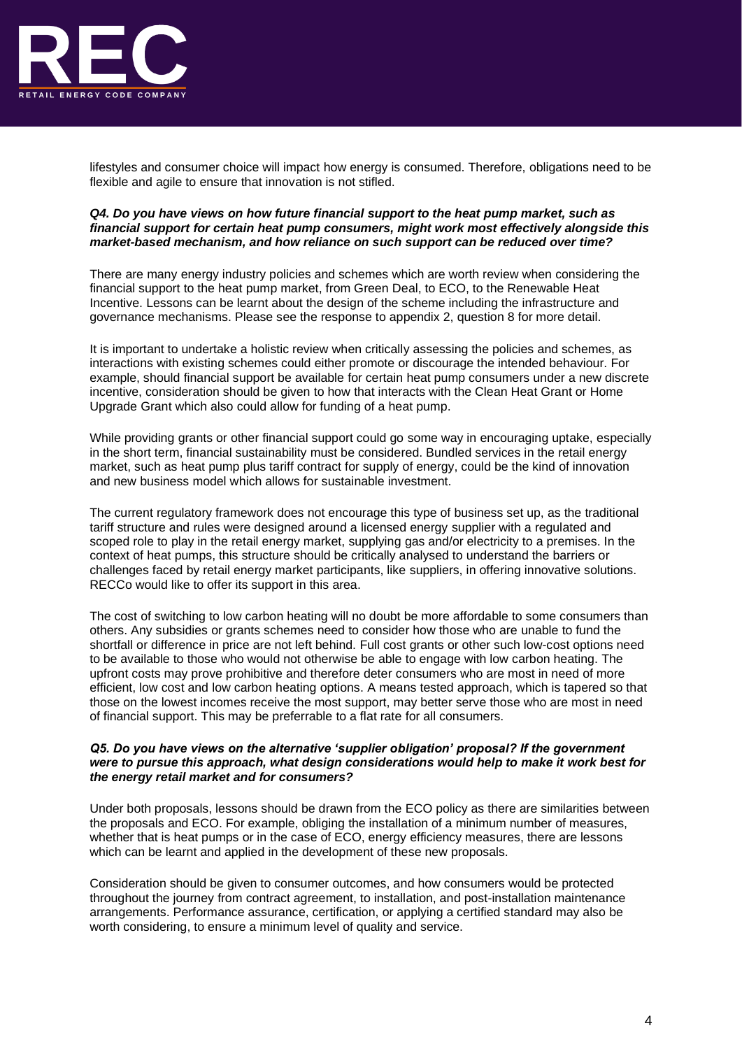

lifestyles and consumer choice will impact how energy is consumed. Therefore, obligations need to be flexible and agile to ensure that innovation is not stifled.

## *Q4. Do you have views on how future financial support to the heat pump market, such as financial support for certain heat pump consumers, might work most effectively alongside this market-based mechanism, and how reliance on such support can be reduced over time?*

There are many energy industry policies and schemes which are worth review when considering the financial support to the heat pump market, from Green Deal, to ECO, to the Renewable Heat Incentive. Lessons can be learnt about the design of the scheme including the infrastructure and governance mechanisms. Please see the response to appendix 2, question 8 for more detail.

It is important to undertake a holistic review when critically assessing the policies and schemes, as interactions with existing schemes could either promote or discourage the intended behaviour. For example, should financial support be available for certain heat pump consumers under a new discrete incentive, consideration should be given to how that interacts with the Clean Heat Grant or Home Upgrade Grant which also could allow for funding of a heat pump.

While providing grants or other financial support could go some way in encouraging uptake, especially in the short term, financial sustainability must be considered. Bundled services in the retail energy market, such as heat pump plus tariff contract for supply of energy, could be the kind of innovation and new business model which allows for sustainable investment.

The current regulatory framework does not encourage this type of business set up, as the traditional tariff structure and rules were designed around a licensed energy supplier with a regulated and scoped role to play in the retail energy market, supplying gas and/or electricity to a premises. In the context of heat pumps, this structure should be critically analysed to understand the barriers or challenges faced by retail energy market participants, like suppliers, in offering innovative solutions. RECCo would like to offer its support in this area.

The cost of switching to low carbon heating will no doubt be more affordable to some consumers than others. Any subsidies or grants schemes need to consider how those who are unable to fund the shortfall or difference in price are not left behind. Full cost grants or other such low-cost options need to be available to those who would not otherwise be able to engage with low carbon heating. The upfront costs may prove prohibitive and therefore deter consumers who are most in need of more efficient, low cost and low carbon heating options. A means tested approach, which is tapered so that those on the lowest incomes receive the most support, may better serve those who are most in need of financial support. This may be preferrable to a flat rate for all consumers.

## *Q5. Do you have views on the alternative 'supplier obligation' proposal? If the government were to pursue this approach, what design considerations would help to make it work best for the energy retail market and for consumers?*

Under both proposals, lessons should be drawn from the ECO policy as there are similarities between the proposals and ECO. For example, obliging the installation of a minimum number of measures, whether that is heat pumps or in the case of ECO, energy efficiency measures, there are lessons which can be learnt and applied in the development of these new proposals.

Consideration should be given to consumer outcomes, and how consumers would be protected throughout the journey from contract agreement, to installation, and post-installation maintenance arrangements. Performance assurance, certification, or applying a certified standard may also be worth considering, to ensure a minimum level of quality and service.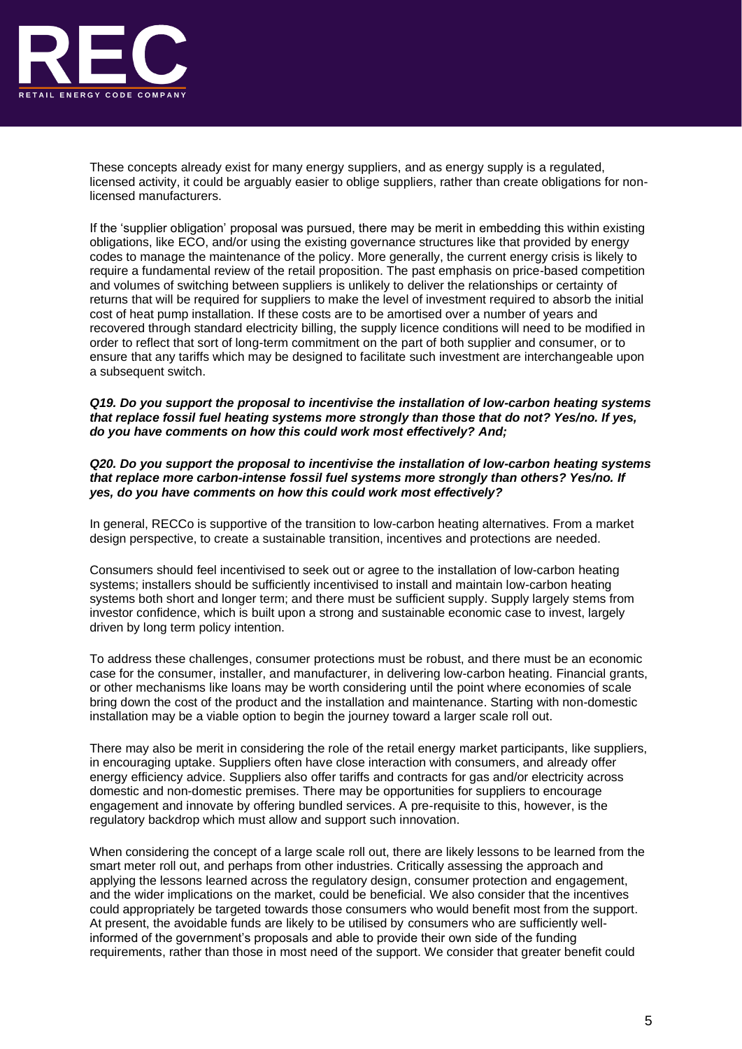

These concepts already exist for many energy suppliers, and as energy supply is a regulated, licensed activity, it could be arguably easier to oblige suppliers, rather than create obligations for nonlicensed manufacturers.

If the 'supplier obligation' proposal was pursued, there may be merit in embedding this within existing obligations, like ECO, and/or using the existing governance structures like that provided by energy codes to manage the maintenance of the policy. More generally, the current energy crisis is likely to require a fundamental review of the retail proposition. The past emphasis on price-based competition and volumes of switching between suppliers is unlikely to deliver the relationships or certainty of returns that will be required for suppliers to make the level of investment required to absorb the initial cost of heat pump installation. If these costs are to be amortised over a number of years and recovered through standard electricity billing, the supply licence conditions will need to be modified in order to reflect that sort of long-term commitment on the part of both supplier and consumer, or to ensure that any tariffs which may be designed to facilitate such investment are interchangeable upon a subsequent switch.

#### *Q19. Do you support the proposal to incentivise the installation of low-carbon heating systems that replace fossil fuel heating systems more strongly than those that do not? Yes/no. If yes, do you have comments on how this could work most effectively? And;*

*Q20. Do you support the proposal to incentivise the installation of low-carbon heating systems that replace more carbon-intense fossil fuel systems more strongly than others? Yes/no. If yes, do you have comments on how this could work most effectively?*

In general, RECCo is supportive of the transition to low-carbon heating alternatives. From a market design perspective, to create a sustainable transition, incentives and protections are needed.

Consumers should feel incentivised to seek out or agree to the installation of low-carbon heating systems; installers should be sufficiently incentivised to install and maintain low-carbon heating systems both short and longer term; and there must be sufficient supply. Supply largely stems from investor confidence, which is built upon a strong and sustainable economic case to invest, largely driven by long term policy intention.

To address these challenges, consumer protections must be robust, and there must be an economic case for the consumer, installer, and manufacturer, in delivering low-carbon heating. Financial grants, or other mechanisms like loans may be worth considering until the point where economies of scale bring down the cost of the product and the installation and maintenance. Starting with non-domestic installation may be a viable option to begin the journey toward a larger scale roll out.

There may also be merit in considering the role of the retail energy market participants, like suppliers, in encouraging uptake. Suppliers often have close interaction with consumers, and already offer energy efficiency advice. Suppliers also offer tariffs and contracts for gas and/or electricity across domestic and non-domestic premises. There may be opportunities for suppliers to encourage engagement and innovate by offering bundled services. A pre-requisite to this, however, is the regulatory backdrop which must allow and support such innovation.

When considering the concept of a large scale roll out, there are likely lessons to be learned from the smart meter roll out, and perhaps from other industries. Critically assessing the approach and applying the lessons learned across the regulatory design, consumer protection and engagement, and the wider implications on the market, could be beneficial. We also consider that the incentives could appropriately be targeted towards those consumers who would benefit most from the support. At present, the avoidable funds are likely to be utilised by consumers who are sufficiently wellinformed of the government's proposals and able to provide their own side of the funding requirements, rather than those in most need of the support. We consider that greater benefit could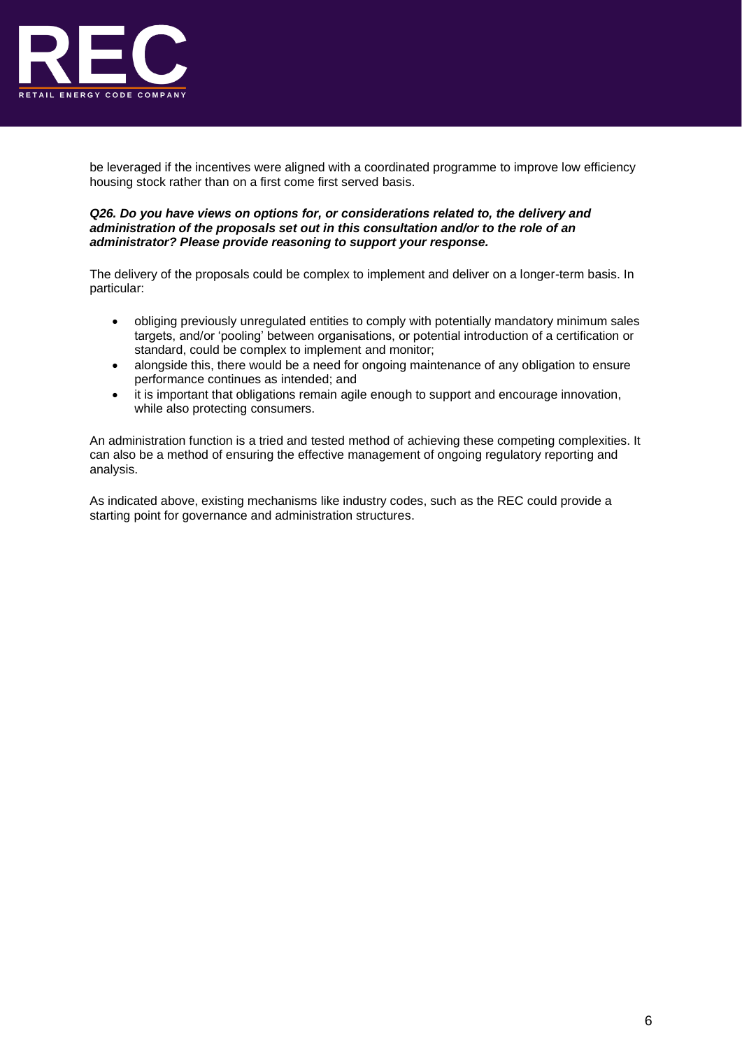

be leveraged if the incentives were aligned with a coordinated programme to improve low efficiency housing stock rather than on a first come first served basis.

### *Q26. Do you have views on options for, or considerations related to, the delivery and administration of the proposals set out in this consultation and/or to the role of an administrator? Please provide reasoning to support your response.*

The delivery of the proposals could be complex to implement and deliver on a longer-term basis. In particular:

- obliging previously unregulated entities to comply with potentially mandatory minimum sales targets, and/or 'pooling' between organisations, or potential introduction of a certification or standard, could be complex to implement and monitor;
- alongside this, there would be a need for ongoing maintenance of any obligation to ensure performance continues as intended; and
- it is important that obligations remain agile enough to support and encourage innovation, while also protecting consumers.

An administration function is a tried and tested method of achieving these competing complexities. It can also be a method of ensuring the effective management of ongoing regulatory reporting and analysis.

As indicated above, existing mechanisms like industry codes, such as the REC could provide a starting point for governance and administration structures.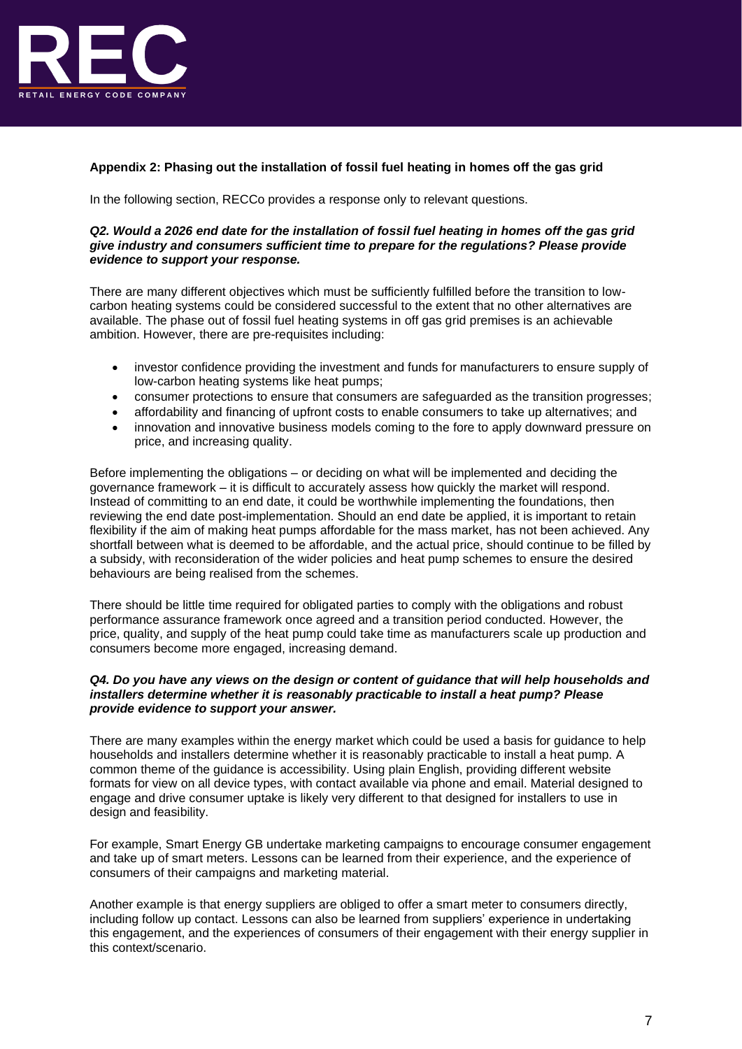

# **Appendix 2: Phasing out the installation of fossil fuel heating in homes off the gas grid**

In the following section, RECCo provides a response only to relevant questions.

#### *Q2. Would a 2026 end date for the installation of fossil fuel heating in homes off the gas grid give industry and consumers sufficient time to prepare for the regulations? Please provide evidence to support your response.*

There are many different objectives which must be sufficiently fulfilled before the transition to lowcarbon heating systems could be considered successful to the extent that no other alternatives are available. The phase out of fossil fuel heating systems in off gas grid premises is an achievable ambition. However, there are pre-requisites including:

- investor confidence providing the investment and funds for manufacturers to ensure supply of low-carbon heating systems like heat pumps;
- consumer protections to ensure that consumers are safeguarded as the transition progresses;
- affordability and financing of upfront costs to enable consumers to take up alternatives; and
- innovation and innovative business models coming to the fore to apply downward pressure on price, and increasing quality.

Before implementing the obligations – or deciding on what will be implemented and deciding the governance framework – it is difficult to accurately assess how quickly the market will respond. Instead of committing to an end date, it could be worthwhile implementing the foundations, then reviewing the end date post-implementation. Should an end date be applied, it is important to retain flexibility if the aim of making heat pumps affordable for the mass market, has not been achieved. Any shortfall between what is deemed to be affordable, and the actual price, should continue to be filled by a subsidy, with reconsideration of the wider policies and heat pump schemes to ensure the desired behaviours are being realised from the schemes.

There should be little time required for obligated parties to comply with the obligations and robust performance assurance framework once agreed and a transition period conducted. However, the price, quality, and supply of the heat pump could take time as manufacturers scale up production and consumers become more engaged, increasing demand.

## *Q4. Do you have any views on the design or content of guidance that will help households and installers determine whether it is reasonably practicable to install a heat pump? Please provide evidence to support your answer.*

There are many examples within the energy market which could be used a basis for guidance to help households and installers determine whether it is reasonably practicable to install a heat pump. A common theme of the guidance is accessibility. Using plain English, providing different website formats for view on all device types, with contact available via phone and email. Material designed to engage and drive consumer uptake is likely very different to that designed for installers to use in design and feasibility.

For example, Smart Energy GB undertake marketing campaigns to encourage consumer engagement and take up of smart meters. Lessons can be learned from their experience, and the experience of consumers of their campaigns and marketing material.

Another example is that energy suppliers are obliged to offer a smart meter to consumers directly, including follow up contact. Lessons can also be learned from suppliers' experience in undertaking this engagement, and the experiences of consumers of their engagement with their energy supplier in this context/scenario.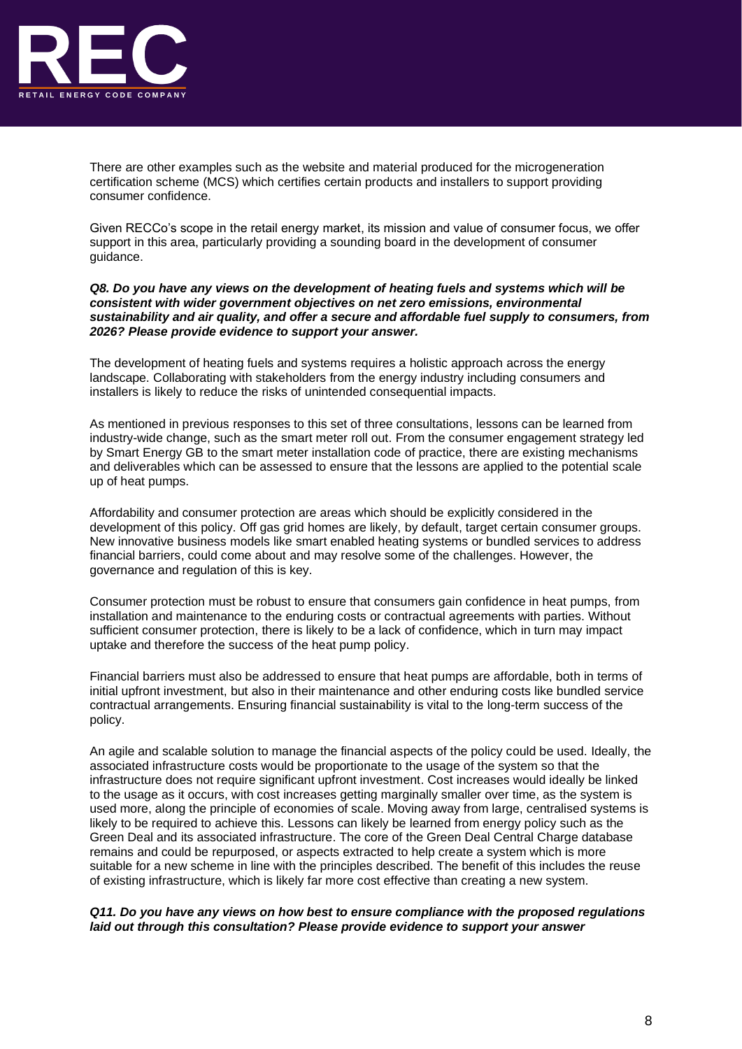

There are other examples such as the website and material produced for the microgeneration certification scheme (MCS) which certifies certain products and installers to support providing consumer confidence.

Given RECCo's scope in the retail energy market, its mission and value of consumer focus, we offer support in this area, particularly providing a sounding board in the development of consumer guidance.

*Q8. Do you have any views on the development of heating fuels and systems which will be consistent with wider government objectives on net zero emissions, environmental sustainability and air quality, and offer a secure and affordable fuel supply to consumers, from 2026? Please provide evidence to support your answer.*

The development of heating fuels and systems requires a holistic approach across the energy landscape. Collaborating with stakeholders from the energy industry including consumers and installers is likely to reduce the risks of unintended consequential impacts.

As mentioned in previous responses to this set of three consultations, lessons can be learned from industry-wide change, such as the smart meter roll out. From the consumer engagement strategy led by Smart Energy GB to the smart meter installation code of practice, there are existing mechanisms and deliverables which can be assessed to ensure that the lessons are applied to the potential scale up of heat pumps.

Affordability and consumer protection are areas which should be explicitly considered in the development of this policy. Off gas grid homes are likely, by default, target certain consumer groups. New innovative business models like smart enabled heating systems or bundled services to address financial barriers, could come about and may resolve some of the challenges. However, the governance and regulation of this is key.

Consumer protection must be robust to ensure that consumers gain confidence in heat pumps, from installation and maintenance to the enduring costs or contractual agreements with parties. Without sufficient consumer protection, there is likely to be a lack of confidence, which in turn may impact uptake and therefore the success of the heat pump policy.

Financial barriers must also be addressed to ensure that heat pumps are affordable, both in terms of initial upfront investment, but also in their maintenance and other enduring costs like bundled service contractual arrangements. Ensuring financial sustainability is vital to the long-term success of the policy.

An agile and scalable solution to manage the financial aspects of the policy could be used. Ideally, the associated infrastructure costs would be proportionate to the usage of the system so that the infrastructure does not require significant upfront investment. Cost increases would ideally be linked to the usage as it occurs, with cost increases getting marginally smaller over time, as the system is used more, along the principle of economies of scale. Moving away from large, centralised systems is likely to be required to achieve this. Lessons can likely be learned from energy policy such as the Green Deal and its associated infrastructure. The core of the Green Deal Central Charge database remains and could be repurposed, or aspects extracted to help create a system which is more suitable for a new scheme in line with the principles described. The benefit of this includes the reuse of existing infrastructure, which is likely far more cost effective than creating a new system.

## *Q11. Do you have any views on how best to ensure compliance with the proposed regulations laid out through this consultation? Please provide evidence to support your answer*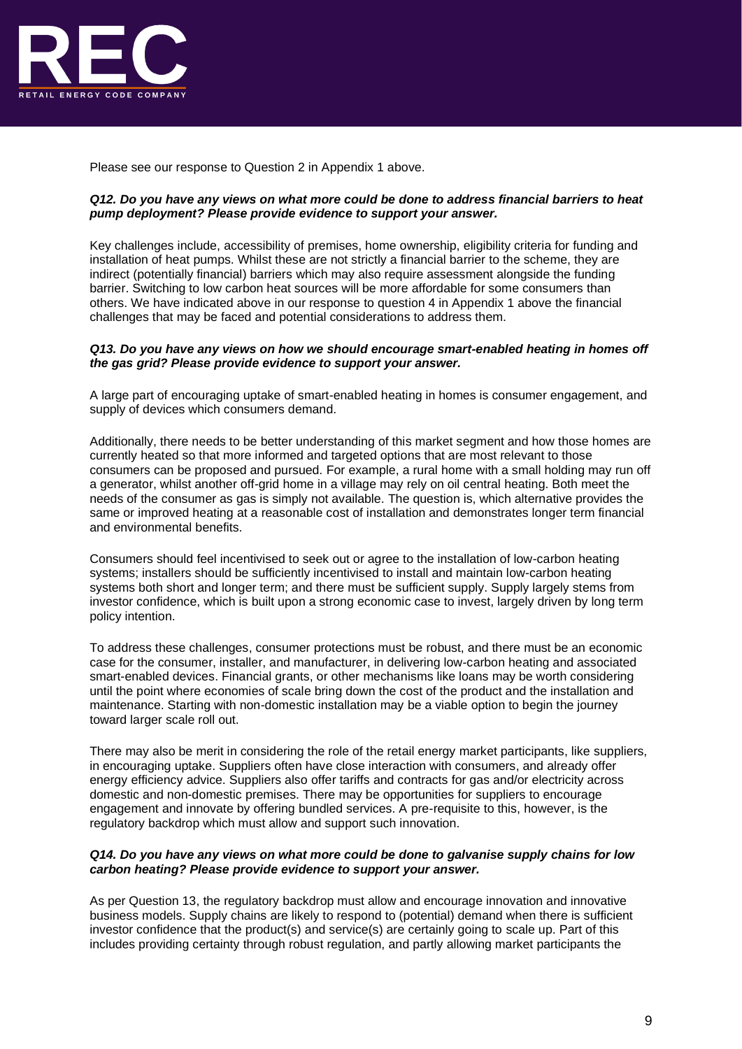

Please see our response to Question 2 in Appendix 1 above.

### *Q12. Do you have any views on what more could be done to address financial barriers to heat pump deployment? Please provide evidence to support your answer.*

Key challenges include, accessibility of premises, home ownership, eligibility criteria for funding and installation of heat pumps. Whilst these are not strictly a financial barrier to the scheme, they are indirect (potentially financial) barriers which may also require assessment alongside the funding barrier. Switching to low carbon heat sources will be more affordable for some consumers than others. We have indicated above in our response to question 4 in Appendix 1 above the financial challenges that may be faced and potential considerations to address them.

#### *Q13. Do you have any views on how we should encourage smart-enabled heating in homes off the gas grid? Please provide evidence to support your answer.*

A large part of encouraging uptake of smart-enabled heating in homes is consumer engagement, and supply of devices which consumers demand.

Additionally, there needs to be better understanding of this market segment and how those homes are currently heated so that more informed and targeted options that are most relevant to those consumers can be proposed and pursued. For example, a rural home with a small holding may run off a generator, whilst another off-grid home in a village may rely on oil central heating. Both meet the needs of the consumer as gas is simply not available. The question is, which alternative provides the same or improved heating at a reasonable cost of installation and demonstrates longer term financial and environmental benefits.

Consumers should feel incentivised to seek out or agree to the installation of low-carbon heating systems; installers should be sufficiently incentivised to install and maintain low-carbon heating systems both short and longer term; and there must be sufficient supply. Supply largely stems from investor confidence, which is built upon a strong economic case to invest, largely driven by long term policy intention.

To address these challenges, consumer protections must be robust, and there must be an economic case for the consumer, installer, and manufacturer, in delivering low-carbon heating and associated smart-enabled devices. Financial grants, or other mechanisms like loans may be worth considering until the point where economies of scale bring down the cost of the product and the installation and maintenance. Starting with non-domestic installation may be a viable option to begin the journey toward larger scale roll out.

There may also be merit in considering the role of the retail energy market participants, like suppliers, in encouraging uptake. Suppliers often have close interaction with consumers, and already offer energy efficiency advice. Suppliers also offer tariffs and contracts for gas and/or electricity across domestic and non-domestic premises. There may be opportunities for suppliers to encourage engagement and innovate by offering bundled services. A pre-requisite to this, however, is the regulatory backdrop which must allow and support such innovation.

#### *Q14. Do you have any views on what more could be done to galvanise supply chains for low carbon heating? Please provide evidence to support your answer.*

As per Question 13, the regulatory backdrop must allow and encourage innovation and innovative business models. Supply chains are likely to respond to (potential) demand when there is sufficient investor confidence that the product(s) and service(s) are certainly going to scale up. Part of this includes providing certainty through robust regulation, and partly allowing market participants the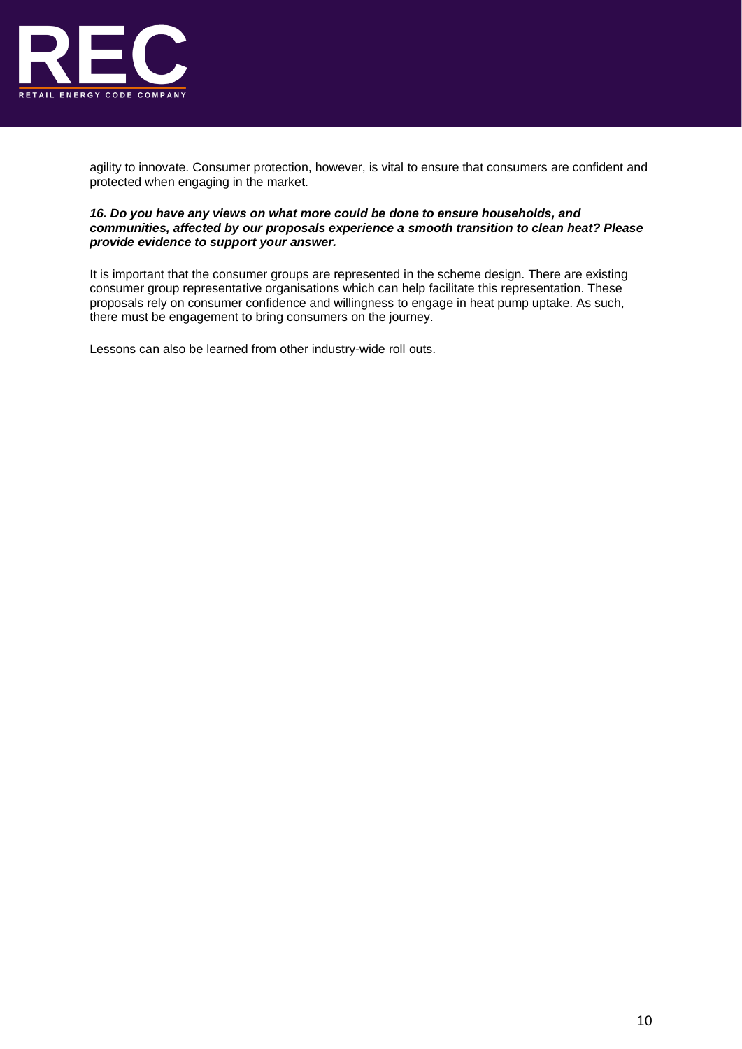

agility to innovate. Consumer protection, however, is vital to ensure that consumers are confident and protected when engaging in the market.

## *16. Do you have any views on what more could be done to ensure households, and communities, affected by our proposals experience a smooth transition to clean heat? Please provide evidence to support your answer.*

It is important that the consumer groups are represented in the scheme design. There are existing consumer group representative organisations which can help facilitate this representation. These proposals rely on consumer confidence and willingness to engage in heat pump uptake. As such, there must be engagement to bring consumers on the journey.

Lessons can also be learned from other industry-wide roll outs.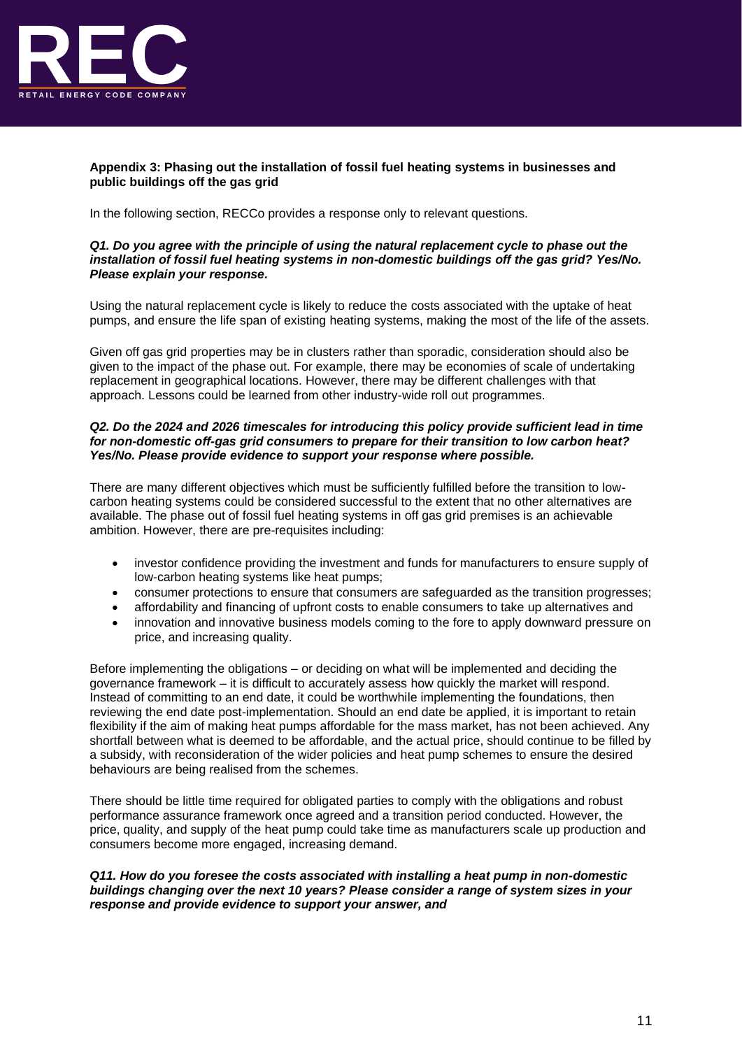

## **Appendix 3: Phasing out the installation of fossil fuel heating systems in businesses and public buildings off the gas grid**

In the following section, RECCo provides a response only to relevant questions.

## *Q1. Do you agree with the principle of using the natural replacement cycle to phase out the installation of fossil fuel heating systems in non-domestic buildings off the gas grid? Yes/No. Please explain your response.*

Using the natural replacement cycle is likely to reduce the costs associated with the uptake of heat pumps, and ensure the life span of existing heating systems, making the most of the life of the assets.

Given off gas grid properties may be in clusters rather than sporadic, consideration should also be given to the impact of the phase out. For example, there may be economies of scale of undertaking replacement in geographical locations. However, there may be different challenges with that approach. Lessons could be learned from other industry-wide roll out programmes.

### *Q2. Do the 2024 and 2026 timescales for introducing this policy provide sufficient lead in time for non-domestic off-gas grid consumers to prepare for their transition to low carbon heat? Yes/No. Please provide evidence to support your response where possible.*

There are many different objectives which must be sufficiently fulfilled before the transition to lowcarbon heating systems could be considered successful to the extent that no other alternatives are available. The phase out of fossil fuel heating systems in off gas grid premises is an achievable ambition. However, there are pre-requisites including:

- investor confidence providing the investment and funds for manufacturers to ensure supply of low-carbon heating systems like heat pumps;
- consumer protections to ensure that consumers are safeguarded as the transition progresses;
- affordability and financing of upfront costs to enable consumers to take up alternatives and
- innovation and innovative business models coming to the fore to apply downward pressure on price, and increasing quality.

Before implementing the obligations – or deciding on what will be implemented and deciding the governance framework – it is difficult to accurately assess how quickly the market will respond. Instead of committing to an end date, it could be worthwhile implementing the foundations, then reviewing the end date post-implementation. Should an end date be applied, it is important to retain flexibility if the aim of making heat pumps affordable for the mass market, has not been achieved. Any shortfall between what is deemed to be affordable, and the actual price, should continue to be filled by a subsidy, with reconsideration of the wider policies and heat pump schemes to ensure the desired behaviours are being realised from the schemes.

There should be little time required for obligated parties to comply with the obligations and robust performance assurance framework once agreed and a transition period conducted. However, the price, quality, and supply of the heat pump could take time as manufacturers scale up production and consumers become more engaged, increasing demand.

## *Q11. How do you foresee the costs associated with installing a heat pump in non-domestic buildings changing over the next 10 years? Please consider a range of system sizes in your response and provide evidence to support your answer, and*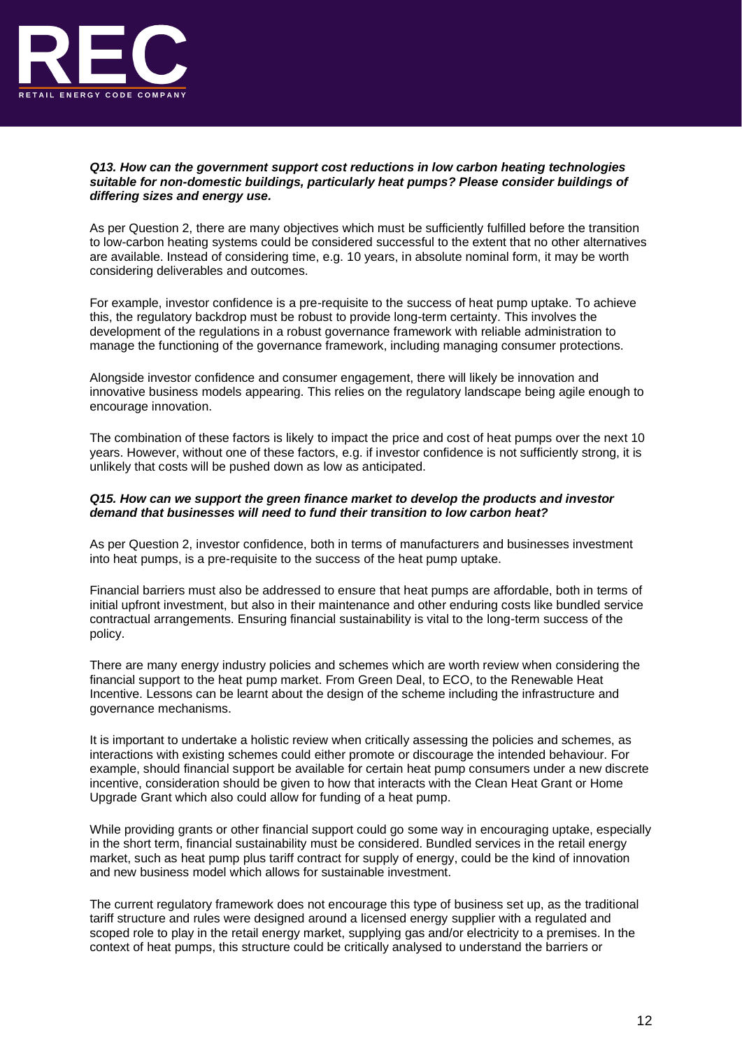

## *Q13. How can the government support cost reductions in low carbon heating technologies suitable for non-domestic buildings, particularly heat pumps? Please consider buildings of differing sizes and energy use.*

As per Question 2, there are many objectives which must be sufficiently fulfilled before the transition to low-carbon heating systems could be considered successful to the extent that no other alternatives are available. Instead of considering time, e.g. 10 years, in absolute nominal form, it may be worth considering deliverables and outcomes.

For example, investor confidence is a pre-requisite to the success of heat pump uptake. To achieve this, the regulatory backdrop must be robust to provide long-term certainty. This involves the development of the regulations in a robust governance framework with reliable administration to manage the functioning of the governance framework, including managing consumer protections.

Alongside investor confidence and consumer engagement, there will likely be innovation and innovative business models appearing. This relies on the regulatory landscape being agile enough to encourage innovation.

The combination of these factors is likely to impact the price and cost of heat pumps over the next 10 years. However, without one of these factors, e.g. if investor confidence is not sufficiently strong, it is unlikely that costs will be pushed down as low as anticipated.

## *Q15. How can we support the green finance market to develop the products and investor demand that businesses will need to fund their transition to low carbon heat?*

As per Question 2, investor confidence, both in terms of manufacturers and businesses investment into heat pumps, is a pre-requisite to the success of the heat pump uptake.

Financial barriers must also be addressed to ensure that heat pumps are affordable, both in terms of initial upfront investment, but also in their maintenance and other enduring costs like bundled service contractual arrangements. Ensuring financial sustainability is vital to the long-term success of the policy.

There are many energy industry policies and schemes which are worth review when considering the financial support to the heat pump market. From Green Deal, to ECO, to the Renewable Heat Incentive. Lessons can be learnt about the design of the scheme including the infrastructure and governance mechanisms.

It is important to undertake a holistic review when critically assessing the policies and schemes, as interactions with existing schemes could either promote or discourage the intended behaviour. For example, should financial support be available for certain heat pump consumers under a new discrete incentive, consideration should be given to how that interacts with the Clean Heat Grant or Home Upgrade Grant which also could allow for funding of a heat pump.

While providing grants or other financial support could go some way in encouraging uptake, especially in the short term, financial sustainability must be considered. Bundled services in the retail energy market, such as heat pump plus tariff contract for supply of energy, could be the kind of innovation and new business model which allows for sustainable investment.

The current regulatory framework does not encourage this type of business set up, as the traditional tariff structure and rules were designed around a licensed energy supplier with a regulated and scoped role to play in the retail energy market, supplying gas and/or electricity to a premises. In the context of heat pumps, this structure could be critically analysed to understand the barriers or